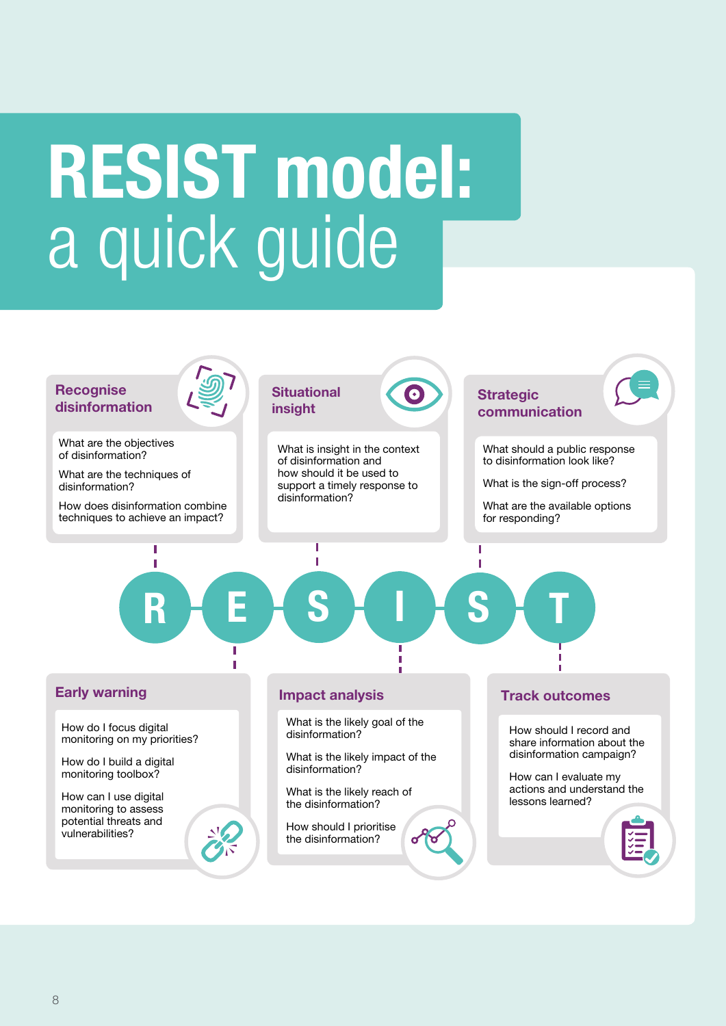# RESIST model: a quick guide

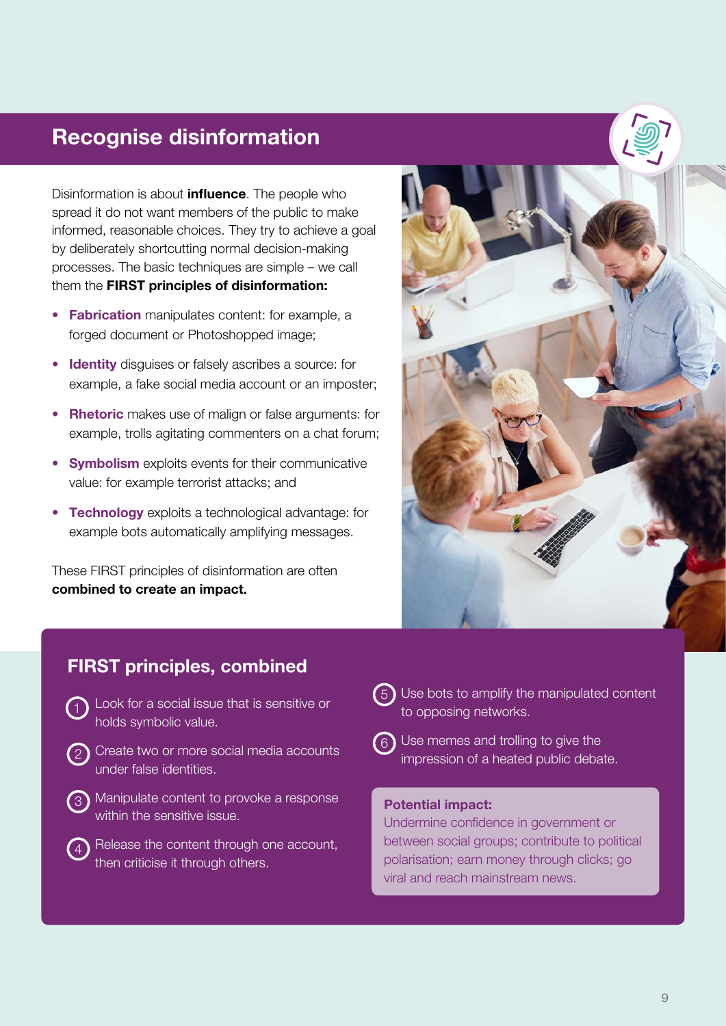#### Recognise disinformation

Disinformation is about **influence**. The people who spread it do not want members of the public to make informed, reasonable choices. They try to achieve a goal by deliberately shortcutting normal decision-making processes. The basic techniques are simple – we call them the **FIRST principles of disinformation:** 

- Fabrication manipulates content: for example, a forged document or Photoshopped image;
- Identity disguises or falsely ascribes a source: for example, a fake social media account or an imposter;
- Rhetoric makes use of malign or false arguments: for example, trolls agitating commenters on a chat forum;
- Symbolism exploits events for their communicative value: for example terrorist attacks; and
- Technology exploits a technological advantage: for example bots automatically amplifying messages.

These FIRST principles of disinformation are often combined to create an impact.



#### FIRST principles, combined

- 1) Look for a social issue that is sensitive or holds symbolic value.
- Create two or more social media accounts under false identities. 2
- 3) Manipulate content to provoke a response within the sensitive issue.
- Release the content through one account, then criticise it through others.  $\mathfrak{c}_4$
- Use bots to amplify the manipulated content 5 to opposing networks.
- $6$ ) Use memes and trolling to give the impression of a heated public debate.

#### Potential impact:

Undermine confidence in government or between social groups; contribute to political polarisation; earn money through clicks; go viral and reach mainstream news.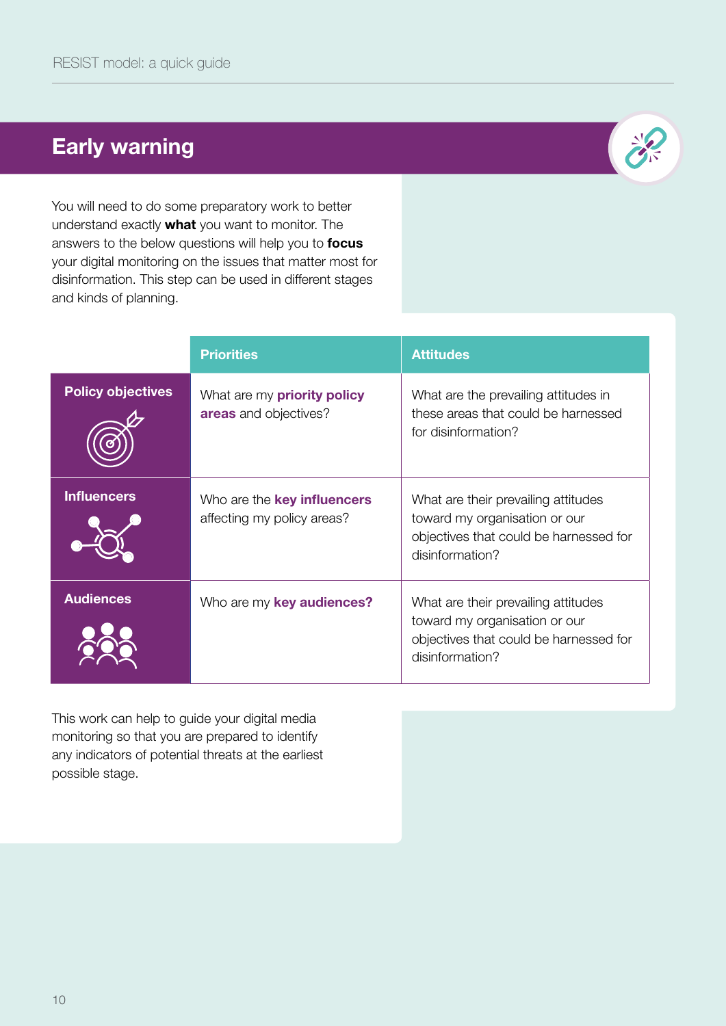## Early warning



You will need to do some preparatory work to better understand exactly **what** you want to monitor. The answers to the below questions will help you to **focus** your digital monitoring on the issues that matter most for disinformation. This step can be used in different stages and kinds of planning.

|                          | <b>Priorities</b>                                                | <b>Attitudes</b>                                                                                                                  |
|--------------------------|------------------------------------------------------------------|-----------------------------------------------------------------------------------------------------------------------------------|
| <b>Policy objectives</b> | What are my <b>priority policy</b><br>areas and objectives?      | What are the prevailing attitudes in<br>these areas that could be harnessed<br>for disinformation?                                |
| <b>Influencers</b>       | Who are the <b>key influencers</b><br>affecting my policy areas? | What are their prevailing attitudes<br>toward my organisation or our<br>objectives that could be harnessed for<br>disinformation? |
| <b>Audiences</b>         | Who are my key audiences?                                        | What are their prevailing attitudes<br>toward my organisation or our<br>objectives that could be harnessed for<br>disinformation? |

This work can help to guide your digital media monitoring so that you are prepared to identify any indicators of potential threats at the earliest possible stage.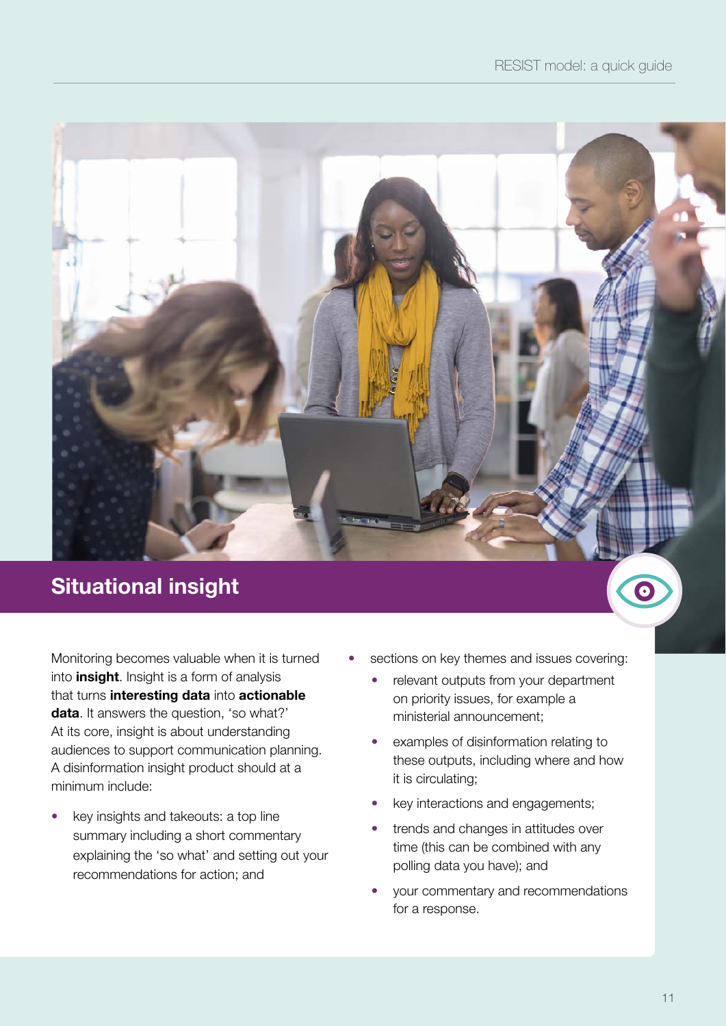# Situational insight

Monitoring becomes valuable when it is turned into *insight*. Insight is a form of analysis that turns interesting data into actionable data. It answers the question, 'so what?' At its core, insight is about understanding audiences to support communication planning. A disinformation insight product should at a minimum include:

• key insights and takeouts: a top line summary including a short commentary explaining the 'so what' and setting out your recommendations for action; and

- sections on key themes and issues covering:
	- relevant outputs from your department on priority issues, for example a ministerial announcement;
	- examples of disinformation relating to these outputs, including where and how it is circulating;
	- key interactions and engagements;
	- trends and changes in attitudes over time (this can be combined with any polling data you have); and
	- your commentary and recommendations for a response.

G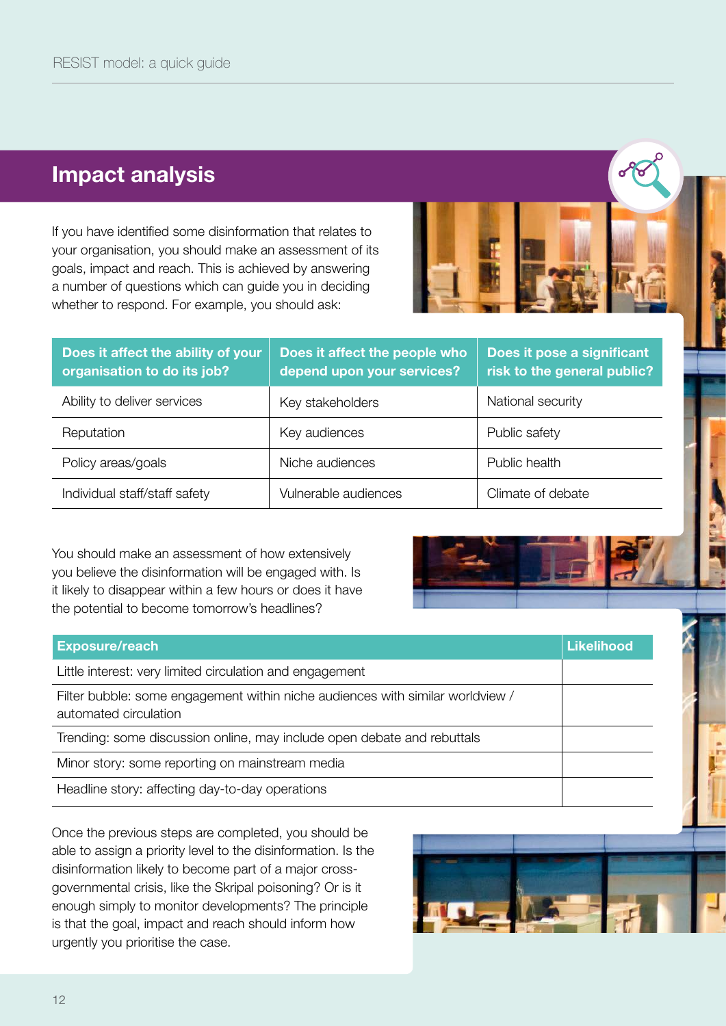### Impact analysis

If you have identified some disinformation that relates to your organisation, you should make an assessment of its goals, impact and reach. This is achieved by answering a number of questions which can guide you in deciding whether to respond. For example, you should ask:



| Does it affect the ability of your<br>organisation to do its job? | Does it affect the people who<br>depend upon your services? | Does it pose a significant<br>risk to the general public? |
|-------------------------------------------------------------------|-------------------------------------------------------------|-----------------------------------------------------------|
| Ability to deliver services                                       | Key stakeholders                                            | National security                                         |
| Reputation                                                        | Key audiences                                               | Public safety                                             |
| Policy areas/goals                                                | Niche audiences                                             | Public health                                             |
| Individual staff/staff safety                                     | Vulnerable audiences                                        | Climate of debate                                         |

You should make an assessment of how extensively you believe the disinformation will be engaged with. Is it likely to disappear within a few hours or does it have the potential to become tomorrow's headlines?



| <b>Exposure/reach</b>                                                                                   | <b>Likelihood</b> |
|---------------------------------------------------------------------------------------------------------|-------------------|
| Little interest: very limited circulation and engagement                                                |                   |
| Filter bubble: some engagement within niche audiences with similar worldview /<br>automated circulation |                   |
| Trending: some discussion online, may include open debate and rebuttals                                 |                   |
| Minor story: some reporting on mainstream media                                                         |                   |
| Headline story: affecting day-to-day operations                                                         |                   |

Once the previous steps are completed, you should be able to assign a priority level to the disinformation. Is the disinformation likely to become part of a major crossgovernmental crisis, like the Skripal poisoning? Or is it enough simply to monitor developments? The principle is that the goal, impact and reach should inform how urgently you prioritise the case.

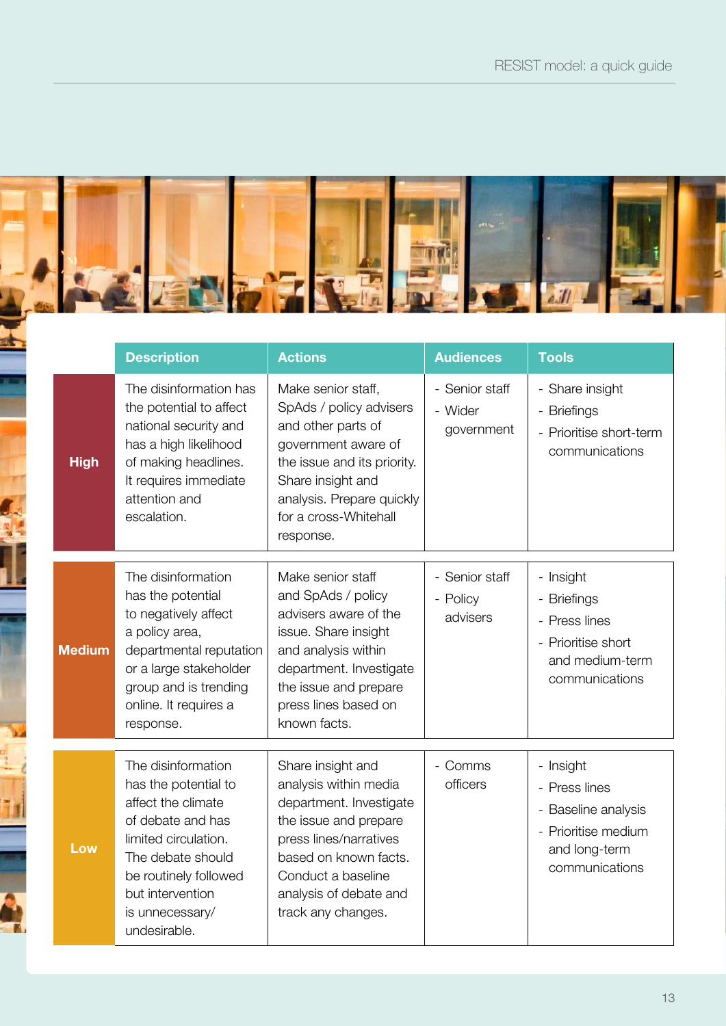

|               | <b>Description</b>                                                                                                                                                                                                 | <b>Actions</b>                                                                                                                                                                                                          | <b>Audiences</b>                        | <b>Tools</b>                                                                                                |
|---------------|--------------------------------------------------------------------------------------------------------------------------------------------------------------------------------------------------------------------|-------------------------------------------------------------------------------------------------------------------------------------------------------------------------------------------------------------------------|-----------------------------------------|-------------------------------------------------------------------------------------------------------------|
| <b>High</b>   | The disinformation has<br>the potential to affect<br>national security and<br>has a high likelihood<br>of making headlines.<br>It requires immediate<br>attention and<br>escalation.                               | Make senior staff,<br>SpAds / policy advisers<br>and other parts of<br>government aware of<br>the issue and its priority.<br>Share insight and<br>analysis. Prepare quickly<br>for a cross-Whitehall<br>response.       | - Senior staff<br>- Wider<br>government | - Share insight<br>- Briefings<br>- Prioritise short-term<br>communications                                 |
| <b>Medium</b> | The disinformation<br>has the potential<br>to negatively affect<br>a policy area,<br>departmental reputation<br>or a large stakeholder<br>group and is trending<br>online. It requires a<br>response.              | Make senior staff<br>and SpAds / policy<br>advisers aware of the<br>issue. Share insight<br>and analysis within<br>department. Investigate<br>the issue and prepare<br>press lines based on<br>known facts.             | - Senior staff<br>- Policy<br>advisers  | - Insight<br>- Briefings<br>- Press lines<br>- Prioritise short<br>and medium-term<br>communications        |
| Low           | The disinformation<br>has the potential to<br>affect the climate<br>of debate and has<br>limited circulation.<br>The debate should<br>be routinely followed<br>but intervention<br>is unnecessary/<br>undesirable. | Share insight and<br>analysis within media<br>department. Investigate<br>the issue and prepare<br>press lines/narratives<br>based on known facts.<br>Conduct a baseline<br>analysis of debate and<br>track any changes. | - Comms<br>officers                     | - Insight<br>- Press lines<br>- Baseline analysis<br>- Prioritise medium<br>and long-term<br>communications |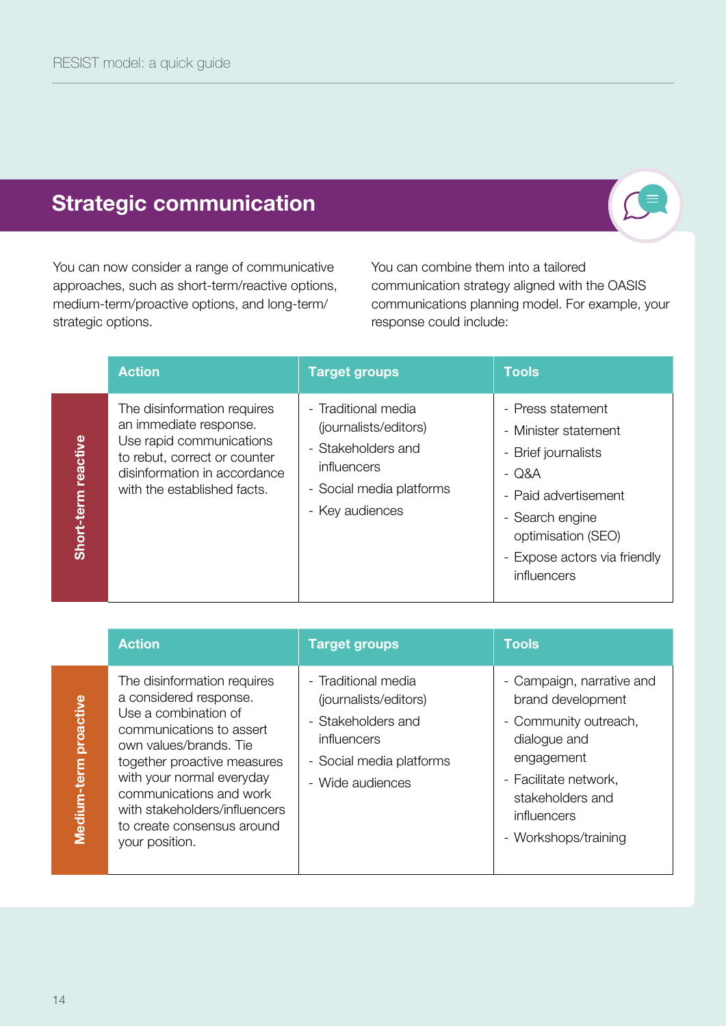# Strategic communication



You can now consider a range of communicative approaches, such as short-term/reactive options, medium-term/proactive options, and long-term/ strategic options.

You can combine them into a tailored communication strategy aligned with the OASIS communications planning model. For example, your response could include:

|                        | <b>Action</b>                                                                                                                                                                    | <b>Target groups</b>                                                                                                             | <b>Tools</b>                                                                                                                                                                              |
|------------------------|----------------------------------------------------------------------------------------------------------------------------------------------------------------------------------|----------------------------------------------------------------------------------------------------------------------------------|-------------------------------------------------------------------------------------------------------------------------------------------------------------------------------------------|
| reactive<br>Short-term | The disinformation requires<br>an immediate response.<br>Use rapid communications<br>to rebut, correct or counter<br>disinformation in accordance<br>with the established facts. | - Traditional media<br>(journalists/editors)<br>- Stakeholders and<br>influencers<br>- Social media platforms<br>- Key audiences | - Press statement<br>- Minister statement<br>- Brief journalists<br>- Q&A<br>- Paid advertisement<br>- Search engine<br>optimisation (SEO)<br>- Expose actors via friendly<br>influencers |

| ı      |
|--------|
| l      |
|        |
|        |
| E      |
|        |
| ĺ      |
|        |
|        |
|        |
|        |
|        |
|        |
|        |
|        |
|        |
|        |
| I<br>ī |
|        |
|        |
|        |
|        |
|        |
|        |
| I      |
|        |
|        |
|        |
| ľ      |
|        |
|        |
|        |
|        |
|        |
|        |
|        |
|        |
| I      |
| I      |
| i      |
|        |
| ľ      |
|        |
|        |
| ſ      |
|        |
|        |

| <b>Action</b>                                                                                                                                                                                                                                                                                               | <b>Target groups</b>                                                                                                              | <b>Tools</b>                                                                                                                                                                              |
|-------------------------------------------------------------------------------------------------------------------------------------------------------------------------------------------------------------------------------------------------------------------------------------------------------------|-----------------------------------------------------------------------------------------------------------------------------------|-------------------------------------------------------------------------------------------------------------------------------------------------------------------------------------------|
| The disinformation requires<br>a considered response.<br>Use a combination of<br>communications to assert<br>own values/brands. Tie<br>together proactive measures<br>with your normal everyday<br>communications and work<br>with stakeholders/influencers<br>to create consensus around<br>your position. | - Traditional media<br>(journalists/editors)<br>- Stakeholders and<br>influencers<br>- Social media platforms<br>- Wide audiences | - Campaign, narrative and<br>brand development<br>- Community outreach,<br>dialogue and<br>engagement<br>- Facilitate network,<br>stakeholders and<br>influencers<br>- Workshops/training |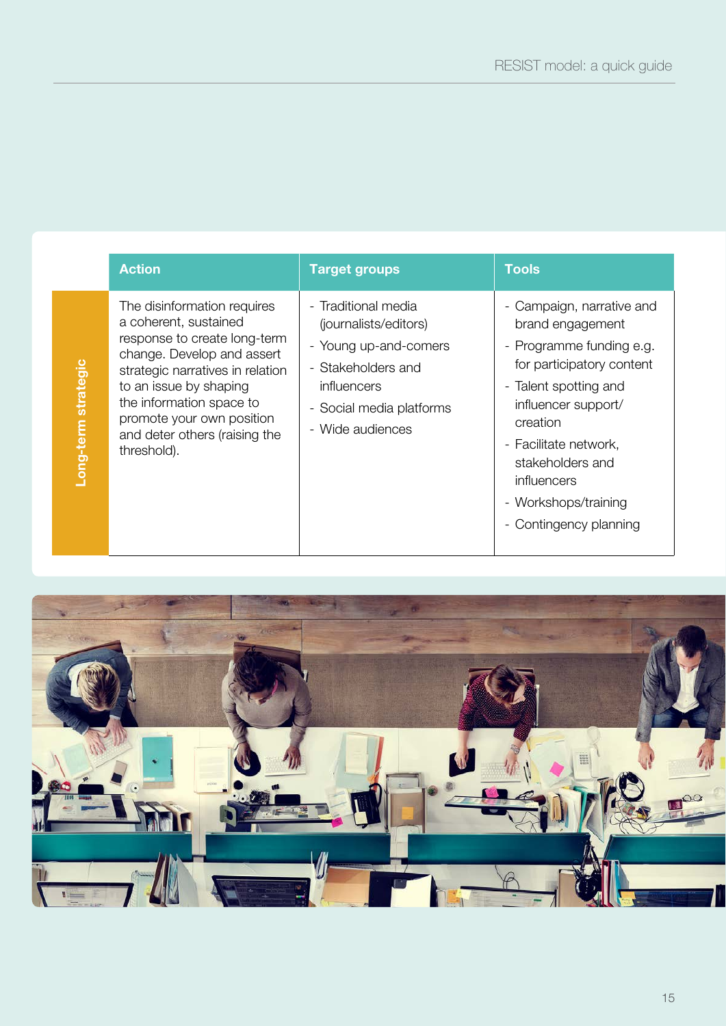|                     | <b>Action</b>                                                                                                                                                                                                                                                                             | <b>Target groups</b>                                                                                                                                       | <b>Tools</b>                                                                                                                                                                                                                                                                     |
|---------------------|-------------------------------------------------------------------------------------------------------------------------------------------------------------------------------------------------------------------------------------------------------------------------------------------|------------------------------------------------------------------------------------------------------------------------------------------------------------|----------------------------------------------------------------------------------------------------------------------------------------------------------------------------------------------------------------------------------------------------------------------------------|
| Long-term strategic | The disinformation requires<br>a coherent, sustained<br>response to create long-term<br>change. Develop and assert<br>strategic narratives in relation<br>to an issue by shaping<br>the information space to<br>promote your own position<br>and deter others (raising the<br>threshold). | - Traditional media<br>(journalists/editors)<br>- Young up-and-comers<br>- Stakeholders and<br>influencers<br>- Social media platforms<br>- Wide audiences | - Campaign, narrative and<br>brand engagement<br>- Programme funding e.g.<br>for participatory content<br>- Talent spotting and<br>influencer support/<br>creation<br>- Facilitate network,<br>stakeholders and<br>influencers<br>- Workshops/training<br>- Contingency planning |